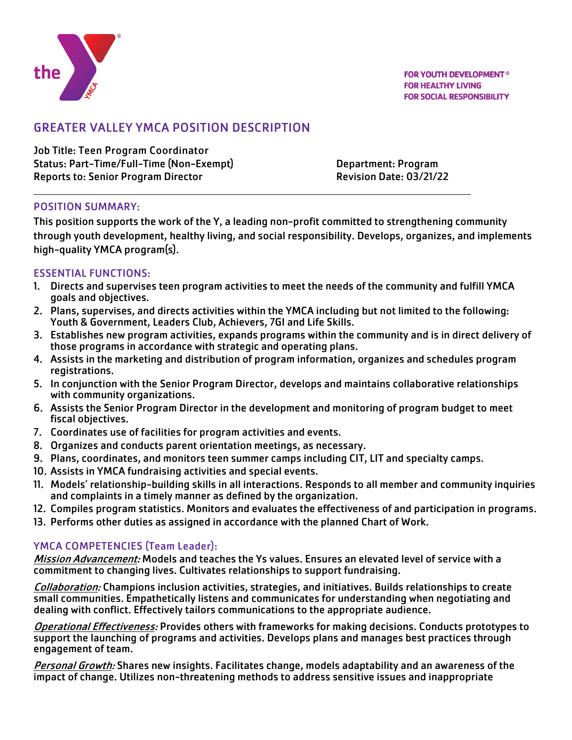

# GREATER VALLEY YMCA POSITION DESCRIPTION

Job Title: Teen Program Coordinator Status: Part-Time/Full-Time (Non-Exempt) Department: Program Reports to: Senior Program Director **Revision Date: 03/21/22** 

#### POSITION SUMMARY:

This position supports the work of the Y, a leading non-profit committed to strengthening community through youth development, healthy living, and social responsibility. Develops, organizes, and implements high-quality YMCA program(s).

#### ESSENTIAL FUNCTIONS:

- 1. Directs and supervises teen program activities to meet the needs of the community and fulfill YMCA goals and objectives.
- 2. Plans, supervises, and directs activities within the YMCA including but not limited to the following: Youth & Government, Leaders Club, Achievers, 7GI and Life Skills.
- 3. Establishes new program activities, expands programs within the community and is in direct delivery of those programs in accordance with strategic and operating plans.
- 4. Assists in the marketing and distribution of program information, organizes and schedules program registrations.
- 5. In conjunction with the Senior Program Director, develops and maintains collaborative relationships with community organizations.
- 6. Assists the Senior Program Director in the development and monitoring of program budget to meet fiscal objectives.
- 7. Coordinates use of facilities for program activities and events.
- 8. Organizes and conducts parent orientation meetings, as necessary.
- 9. Plans, coordinates, and monitors teen summer camps including CIT, LIT and specialty camps.
- 10. Assists in YMCA fundraising activities and special events.
- 11. Models' relationship-building skills in all interactions. Responds to all member and community inquiries and complaints in a timely manner as defined by the organization.
- 12. Compiles program statistics. Monitors and evaluates the effectiveness of and participation in programs.
- 13. Performs other duties as assigned in accordance with the planned Chart of Work.

## YMCA COMPETENCIES (Team Leader):

Mission Advancement: Models and teaches the Ys values. Ensures an elevated level of service with a commitment to changing lives. Cultivates relationships to support fundraising.

Collaboration: Champions inclusion activities, strategies, and initiatives. Builds relationships to create small communities. Empathetically listens and communicates for understanding when negotiating and dealing with conflict. Effectively tailors communications to the appropriate audience.

Operational Effectiveness: Provides others with frameworks for making decisions. Conducts prototypes to support the launching of programs and activities. Develops plans and manages best practices through engagement of team.

Personal Growth: Shares new insights. Facilitates change, models adaptability and an awareness of the impact of change. Utilizes non-threatening methods to address sensitive issues and inappropriate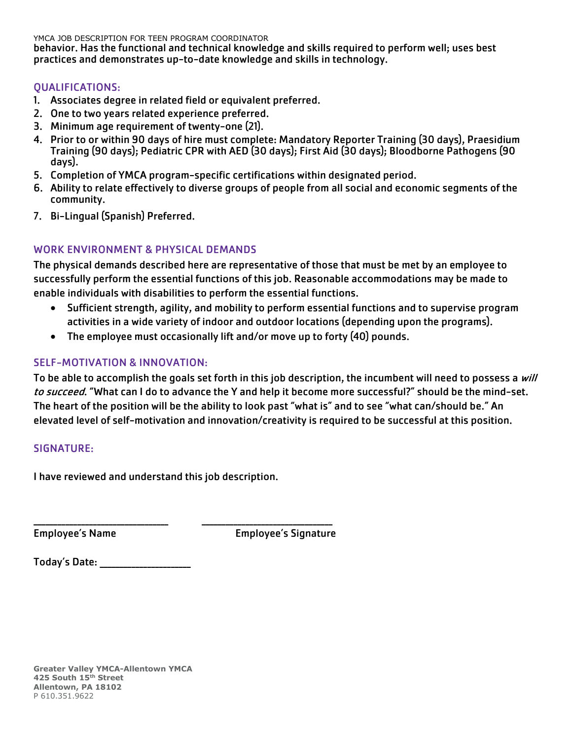YMCA JOB DESCRIPTION FOR TEEN PROGRAM COORDINATOR

behavior. Has the functional and technical knowledge and skills required to perform well; uses best practices and demonstrates up-to-date knowledge and skills in technology.

### QUALIFICATIONS:

- 1. Associates degree in related field or equivalent preferred.
- 2. One to two years related experience preferred.
- 3. Minimum age requirement of twenty-one (21).
- 4. Prior to or within 90 days of hire must complete: Mandatory Reporter Training (30 days), Praesidium Training (90 days); Pediatric CPR with AED (30 days); First Aid (30 days); Bloodborne Pathogens (90 days).
- 5. Completion of YMCA program-specific certifications within designated period.
- 6. Ability to relate effectively to diverse groups of people from all social and economic segments of the community.
- 7. Bi-Lingual (Spanish) Preferred.

### WORK ENVIRONMENT & PHYSICAL DEMANDS

The physical demands described here are representative of those that must be met by an employee to successfully perform the essential functions of this job. Reasonable accommodations may be made to enable individuals with disabilities to perform the essential functions.

- Sufficient strength, agility, and mobility to perform essential functions and to supervise program activities in a wide variety of indoor and outdoor locations (depending upon the programs).
- The employee must occasionally lift and/or move up to forty (40) pounds.

#### SELF-MOTIVATION & INNOVATION:

To be able to accomplish the goals set forth in this job description, the incumbent will need to possess a will to succeed. "What can I do to advance the Y and help it become more successful?" should be the mind-set. The heart of the position will be the ability to look past "what is" and to see "what can/should be." An elevated level of self-motivation and innovation/creativity is required to be successful at this position.

#### SIGNATURE:

I have reviewed and understand this job description.

\_\_\_\_\_\_\_\_\_\_\_\_\_\_\_\_\_\_\_\_\_\_\_\_\_\_\_\_\_\_\_\_\_\_ \_\_\_\_\_\_\_\_\_\_\_\_\_\_\_\_\_\_\_\_\_\_\_\_\_\_\_\_\_\_\_\_\_

Employee's Name Employee's Signature

| <b>Today's Date:</b> |  |
|----------------------|--|
|----------------------|--|